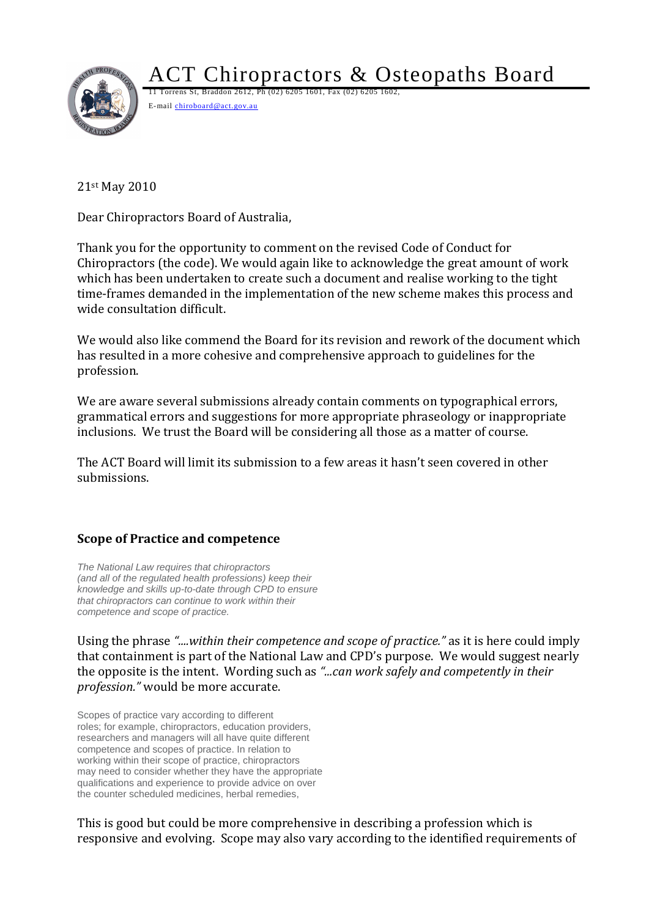

ACT Chiropractors & Osteopaths Board

11 Torrens St, Braddon 2612, Ph (02) 6205 1601, Fax (02) 6205 1602, E-mail chiroboard@act.gov.au

21st May 2010

Dear Chiropractors Board of Australia,

Thank you for the opportunity to comment on the revised Code of Conduct for Chiropractors (the code). We would again like to acknowledge the great amount of work which has been undertaken to create such a document and realise working to the tight time-frames demanded in the implementation of the new scheme makes this process and wide consultation difficult.

We would also like commend the Board for its revision and rework of the document which has resulted in a more cohesive and comprehensive approach to guidelines for the profession.

We are aware several submissions already contain comments on typographical errors, grammatical errors and suggestions for more appropriate phraseology or inappropriate inclusions. We trust the Board will be considering all those as a matter of course.

The ACT Board will limit its submission to a few areas it hasn't seen covered in other submissions.

# **Scope of Practice and competence**

*The National Law requires that chiropractors (and all of the regulated health professions) keep their knowledge and skills up-to-date through CPD to ensure that chiropractors can continue to work within their competence and scope of practice.*

Using the phrase *"....within their competence and scope of practice."* as it is here could imply that containment is part of the National Law and CPD's purpose. We would suggest nearly the opposite is the intent. Wording such as *"...can work safely and competently in their profession."* would be more accurate.

Scopes of practice vary according to different roles; for example, chiropractors, education providers, researchers and managers will all have quite different competence and scopes of practice. In relation to working within their scope of practice, chiropractors may need to consider whether they have the appropriate qualifications and experience to provide advice on over the counter scheduled medicines, herbal remedies,

This is good but could be more comprehensive in describing a profession which is responsive and evolving. Scope may also vary according to the identified requirements of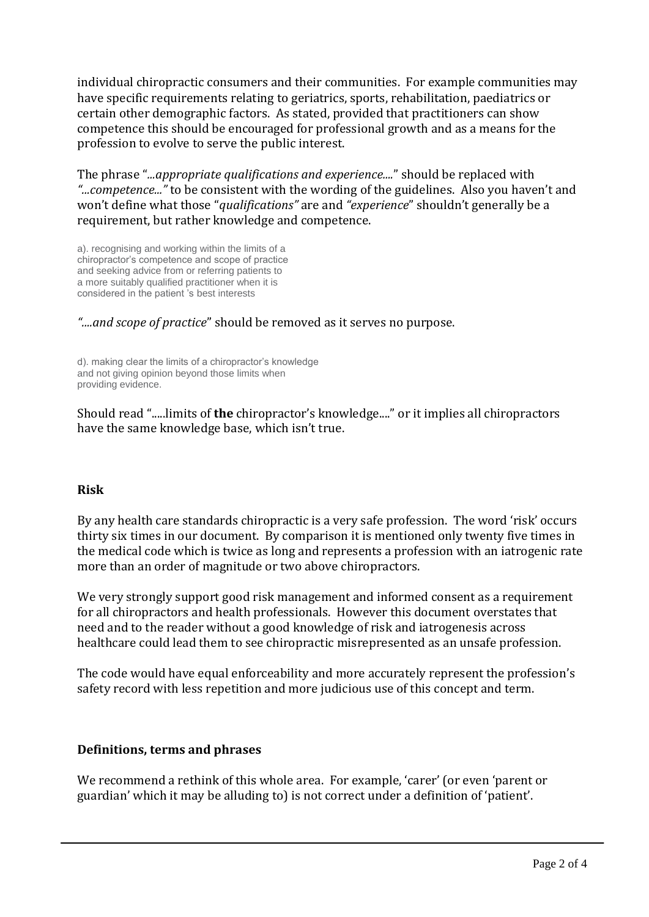individual chiropractic consumers and their communities. For example communities may have specific requirements relating to geriatrics, sports, rehabilitation, paediatrics or certain other demographic factors. As stated, provided that practitioners can show competence this should be encouraged for professional growth and as a means for the profession to evolve to serve the public interest.

The phrase "*...appropriate qualifications and experience....*" should be replaced with *"...competence..."* to be consistent with the wording of the guidelines. Also you haven't and won't define what those "*qualifications"* are and *"experience*" shouldn't generally be a requirement, but rather knowledge and competence.

a). recognising and working within the limits of a chiropractor's competence and scope of practice and seeking advice from or referring patients to a more suitably qualified practitioner when it is considered in the patient 's best interests

*"....and scope of practice*" should be removed as it serves no purpose.

d). making clear the limits of a chiropractor's knowledge and not giving opinion beyond those limits when providing evidence.

Should read ".....limits of **the** chiropractor's knowledge...." or it implies all chiropractors have the same knowledge base, which isn't true.

## **Risk**

By any health care standards chiropractic is a very safe profession. The word 'risk' occurs thirty six times in our document. By comparison it is mentioned only twenty five times in the medical code which is twice as long and represents a profession with an iatrogenic rate more than an order of magnitude or two above chiropractors.

We very strongly support good risk management and informed consent as a requirement for all chiropractors and health professionals. However this document overstates that need and to the reader without a good knowledge of risk and iatrogenesis across healthcare could lead them to see chiropractic misrepresented as an unsafe profession.

The code would have equal enforceability and more accurately represent the profession's safety record with less repetition and more judicious use of this concept and term.

### **Definitions, terms and phrases**

We recommend a rethink of this whole area. For example, 'carer' (or even 'parent or guardian' which it may be alluding to) is not correct under a definition of 'patient'.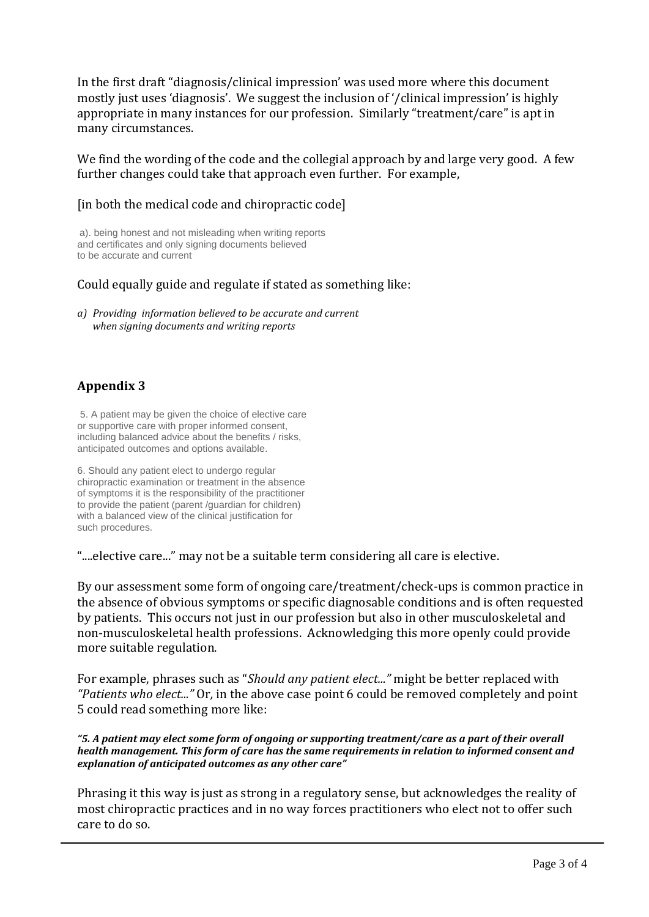In the first draft "diagnosis/clinical impression' was used more where this document mostly just uses 'diagnosis'. We suggest the inclusion of '/clinical impression' is highly appropriate in many instances for our profession. Similarly "treatment/care" is apt in many circumstances.

We find the wording of the code and the collegial approach by and large very good. A few further changes could take that approach even further. For example,

#### [in both the medical code and chiropractic code]

a). being honest and not misleading when writing reports and certificates and only signing documents believed to be accurate and current

#### Could equally guide and regulate if stated as something like:

*a) Providing information believed to be accurate and current when signing documents and writing reports*

## **Appendix 3**

5. A patient may be given the choice of elective care or supportive care with proper informed consent, including balanced advice about the benefits / risks, anticipated outcomes and options available.

6. Should any patient elect to undergo regular chiropractic examination or treatment in the absence of symptoms it is the responsibility of the practitioner to provide the patient (parent /guardian for children) with a balanced view of the clinical justification for such procedures.

"....elective care..." may not be a suitable term considering all care is elective.

By our assessment some form of ongoing care/treatment/check-ups is common practice in the absence of obvious symptoms or specific diagnosable conditions and is often requested by patients. This occurs not just in our profession but also in other musculoskeletal and non-musculoskeletal health professions. Acknowledging this more openly could provide more suitable regulation.

For example, phrases such as "*Should any patient elect..."* might be better replaced with *"Patients who elect..."* Or*,* in the above case point 6 could be removed completely and point 5 could read something more like:

#### *"5. A patient may elect some form of ongoing or supporting treatment/care as a part of their overall health management. This form of care has the same requirements in relation to informed consent and explanation of anticipated outcomes as any other care"*

Phrasing it this way is just as strong in a regulatory sense, but acknowledges the reality of most chiropractic practices and in no way forces practitioners who elect not to offer such care to do so.